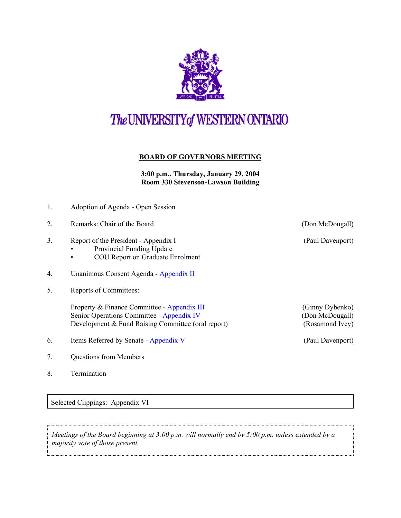

## The UNIVERSITY of WESTERN ONTARIO

## **BOARD OF GOVERNORS MEETING**

**3:00 p.m., Thursday, January 29, 2004 Room 330 Stevenson-Lawson Building**

| 1. | Adoption of Agenda - Open Session                                                                                                              |                                                       |
|----|------------------------------------------------------------------------------------------------------------------------------------------------|-------------------------------------------------------|
| 2. | Remarks: Chair of the Board                                                                                                                    | (Don McDougall)                                       |
| 3. | Report of the President - Appendix I<br>Provincial Funding Update<br><b>COU Report on Graduate Enrolment</b><br>$\bullet$                      | (Paul Davenport)                                      |
| 4. | Unanimous Consent Agenda - Appendix II                                                                                                         |                                                       |
| 5. | Reports of Committees:                                                                                                                         |                                                       |
|    | Property & Finance Committee - Appendix III<br>Senior Operations Committee - Appendix IV<br>Development & Fund Raising Committee (oral report) | (Ginny Dybenko)<br>(Don McDougall)<br>(Rosamond Ivey) |
| 6. | Items Referred by Senate - Appendix V                                                                                                          | (Paul Davenport)                                      |
| 7. | <b>Questions from Members</b>                                                                                                                  |                                                       |

Selected Clippings: Appendix VI

8. Termination

*Meetings of the Board beginning at 3:00 p.m. will normally end by 5:00 p.m. unless extended by a majority vote of those present.*